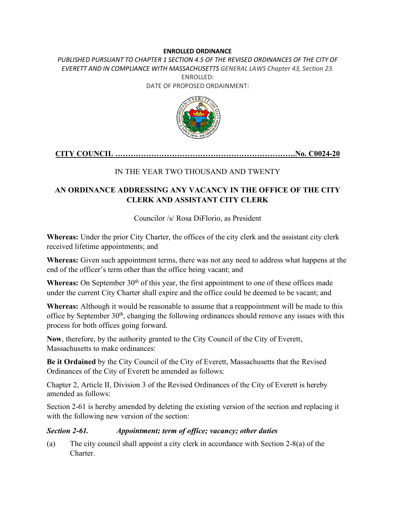#### **ENROLLED ORDINANCE**

PUBLISHED PURSUANT TO CHAPTER 1 SECTION 4.5 OF THE REVISED ORDINANCES OF THE CITY OF *EVERETT AND IN COMPLIANCE WITH MASSACHUSETTS GENERAL LAWS Chapter 43, Section 23.* ENROLLED: DATE OF PROPOSED ORDAINMENT:



## **CITY COUNCIL …………………………………………………………….No. C0024-20**

## IN THE YEAR TWO THOUSAND AND TWENTY

# **AN ORDINANCE ADDRESSING ANY VACANCY IN THE OFFICE OF THE CITY CLERK AND ASSISTANT CITY CLERK**

Councilor /s/ Rosa DiFlorio, as President

**Whereas:** Under the prior City Charter, the offices of the city clerk and the assistant city clerk received lifetime appointments; and

**Whereas:** Given such appointment terms, there was not any need to address what happens at the end of the officer's term other than the office being vacant; and

Whereas: On September 30<sup>th</sup> of this year, the first appointment to one of these offices made under the current City Charter shall expire and the office could be deemed to be vacant; and

**Whereas:** Although it would be reasonable to assume that a reappointment will be made to this office by September 30th, changing the following ordinances should remove any issues with this process for both offices going forward.

**Now**, therefore, by the authority granted to the City Council of the City of Everett, Massachusetts to make ordinances:

**Be it Ordained** by the City Council of the City of Everett, Massachusetts that the Revised Ordinances of the City of Everett be amended as follows:

Chapter 2, Article II, Division 3 of the Revised Ordinances of the City of Everett is hereby amended as follows:

Section 2-61 is hereby amended by deleting the existing version of the section and replacing it with the following new version of the section:

#### *Section 2-61. Appointment; term of office; vacancy; other duties*

(a) The city council shall appoint a city clerk in accordance with Section 2-8(a) of the Charter.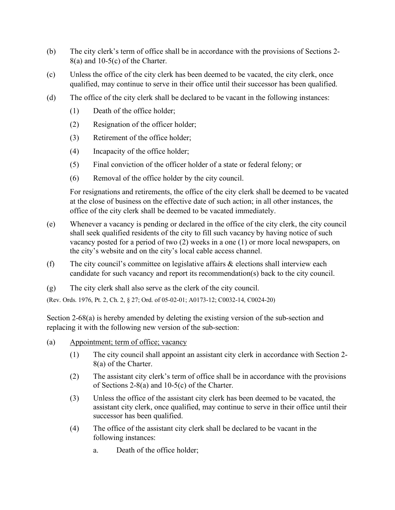- (b) The city clerk's term of office shall be in accordance with the provisions of Sections 2- 8(a) and 10-5(c) of the Charter.
- (c) Unless the office of the city clerk has been deemed to be vacated, the city clerk, once qualified, may continue to serve in their office until their successor has been qualified.
- (d) The office of the city clerk shall be declared to be vacant in the following instances:
	- (1) Death of the office holder;
	- (2) Resignation of the officer holder;
	- (3) Retirement of the office holder;
	- (4) Incapacity of the office holder;
	- (5) Final conviction of the officer holder of a state or federal felony; or
	- (6) Removal of the office holder by the city council.

For resignations and retirements, the office of the city clerk shall be deemed to be vacated at the close of business on the effective date of such action; in all other instances, the office of the city clerk shall be deemed to be vacated immediately.

- (e) Whenever a vacancy is pending or declared in the office of the city clerk, the city council shall seek qualified residents of the city to fill such vacancy by having notice of such vacancy posted for a period of two (2) weeks in a one (1) or more local newspapers, on the city's website and on the city's local cable access channel.
- (f) The city council's committee on legislative affairs  $\&$  elections shall interview each candidate for such vacancy and report its recommendation(s) back to the city council.
- (g) The city clerk shall also serve as the clerk of the city council.

(Rev. Ords. 1976, Pt. 2, Ch. 2, § 27; Ord. of 05-02-01; A0173-12; C0032-14, C0024-20)

Section 2-68(a) is hereby amended by deleting the existing version of the sub-section and replacing it with the following new version of the sub-section:

- (a) Appointment; term of office; vacancy
	- (1) The city council shall appoint an assistant city clerk in accordance with Section 2- 8(a) of the Charter.
	- (2) The assistant city clerk's term of office shall be in accordance with the provisions of Sections 2-8(a) and 10-5(c) of the Charter.
	- (3) Unless the office of the assistant city clerk has been deemed to be vacated, the assistant city clerk, once qualified, may continue to serve in their office until their successor has been qualified.
	- (4) The office of the assistant city clerk shall be declared to be vacant in the following instances:
		- a. Death of the office holder;